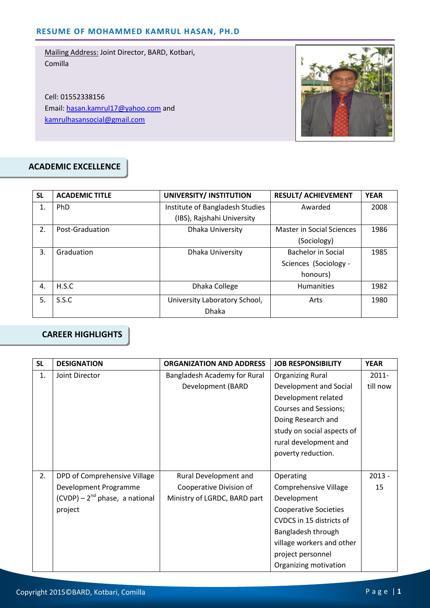Cell: 01552338156 Email: hasan.kamrul17@yahoo.com and kamrulhasansocial@gmail.com



# **ACADEMIC EXCELLENCE**

| <b>SL</b> | <b>ACADEMIC TITLE</b> | UNIVERSITY/ INSTITUTION         | <b>RESULT/ ACHIEVEMENT</b> | <b>YEAR</b> |
|-----------|-----------------------|---------------------------------|----------------------------|-------------|
| 1.        | PhD                   | Institute of Bangladesh Studies | Awarded                    | 2008        |
|           |                       | (IBS), Rajshahi University      |                            |             |
| 2.        | Post-Graduation       | Dhaka University                | Master in Social Sciences  | 1986        |
|           |                       |                                 | (Sociology)                |             |
| 3.        | Graduation            | Dhaka University                | Bachelor in Social         | 1985        |
|           |                       |                                 | Sciences (Sociology -      |             |
|           |                       |                                 | honours)                   |             |
| 4.        | H.S.C                 | Dhaka College                   | <b>Humanities</b>          | 1982        |
| 5.        | S.S.C                 | University Laboratory School,   | Arts                       | 1980        |
|           |                       | <b>Dhaka</b>                    |                            |             |

# **CAREER HIGHLIGHTS**

| <b>SL</b> | <b>DESIGNATION</b>                                                        | <b>ORGANIZATION AND ADDRESS</b> | <b>JOB RESPONSIBILITY</b>    | <b>YEAR</b> |
|-----------|---------------------------------------------------------------------------|---------------------------------|------------------------------|-------------|
| 1.        | Joint Director<br>Bangladesh Academy for Rural<br><b>Organizing Rural</b> |                                 |                              | 2011-       |
|           |                                                                           | Development (BARD               | Development and Social       | till now    |
|           |                                                                           |                                 | Development related          |             |
|           |                                                                           |                                 | <b>Courses and Sessions;</b> |             |
|           |                                                                           |                                 | Doing Research and           |             |
|           |                                                                           |                                 | study on social aspects of   |             |
|           |                                                                           |                                 | rural development and        |             |
|           |                                                                           |                                 | poverty reduction.           |             |
|           |                                                                           |                                 |                              |             |
| 2.        | DPD of Comprehensive Village                                              | Rural Development and           | Operating                    | $2013 -$    |
|           | Development Programme                                                     | Cooperative Division of         | <b>Comprehensive Village</b> | 15          |
|           | $(CVDP) - 2nd phase, a national$                                          | Ministry of LGRDC, BARD part    | Development                  |             |
|           | project                                                                   |                                 | <b>Cooperative Societies</b> |             |
|           |                                                                           |                                 | CVDCS in 15 districts of     |             |
|           |                                                                           |                                 | Bangladesh through           |             |
|           |                                                                           |                                 | village workers and other    |             |
|           |                                                                           |                                 | project personnel            |             |
|           |                                                                           |                                 | Organizing motivation        |             |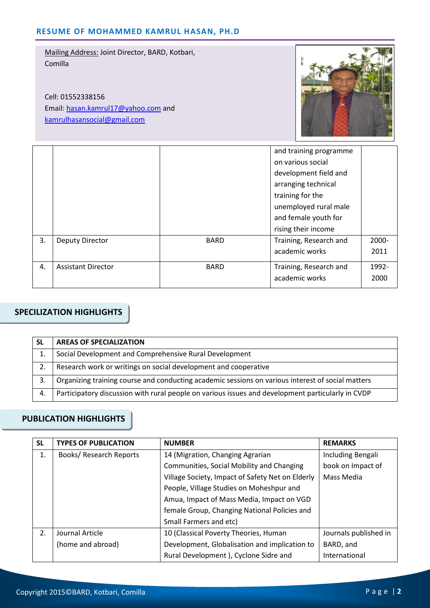Cell: 01552338156 Email: hasan.kamrul17@yahoo.com and kamrulhasansocial@gmail.com



|    |                           |             | and training programme |       |
|----|---------------------------|-------------|------------------------|-------|
|    |                           |             | on various social      |       |
|    |                           |             | development field and  |       |
|    |                           |             | arranging technical    |       |
|    |                           |             | training for the       |       |
|    |                           |             | unemployed rural male  |       |
|    |                           |             | and female youth for   |       |
|    |                           |             | rising their income    |       |
| 3. | <b>Deputy Director</b>    | <b>BARD</b> | Training, Research and | 2000- |
|    |                           |             | academic works         | 2011  |
| 4. | <b>Assistant Director</b> | <b>BARD</b> | Training, Research and | 1992- |
|    |                           |             | academic works         | 2000  |

## **SPECILIZATION HIGHLIGHTS**

| <b>SL</b> | <b>AREAS OF SPECIALIZATION</b>                                                                    |
|-----------|---------------------------------------------------------------------------------------------------|
|           | Social Development and Comprehensive Rural Development                                            |
| 2.        | Research work or writings on social development and cooperative                                   |
| 3.        | Organizing training course and conducting academic sessions on various interest of social matters |
| 4.        | Participatory discussion with rural people on various issues and development particularly in CVDP |

#### **PUBLICATION HIGHLIGHTS**

| <b>SL</b> | <b>TYPES OF PUBLICATION</b> | <b>NUMBER</b>                                    | <b>REMARKS</b>        |
|-----------|-----------------------------|--------------------------------------------------|-----------------------|
| 1.        | Books/ Research Reports     | 14 (Migration, Changing Agrarian                 | Including Bengali     |
|           |                             | Communities, Social Mobility and Changing        | book on Impact of     |
|           |                             | Village Society, Impact of Safety Net on Elderly | Mass Media            |
|           |                             | People, Village Studies on Moheshpur and         |                       |
|           |                             | Amua, Impact of Mass Media, Impact on VGD        |                       |
|           |                             | female Group, Changing National Policies and     |                       |
|           |                             | Small Farmers and etc)                           |                       |
| 2.        | Journal Article             | 10 (Classical Poverty Theories, Human            | Journals published in |
|           | (home and abroad)           | Development, Globalisation and implication to    | BARD, and             |
|           |                             | Rural Development ), Cyclone Sidre and           | International         |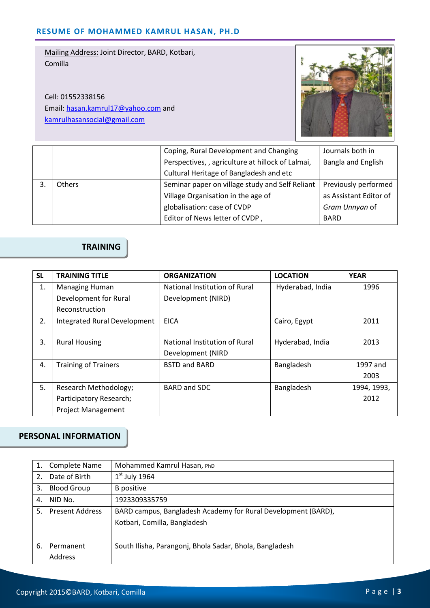Cell: 01552338156 Email: hasan.kamrul17@yahoo.com and kamrulhasansocial@gmail.com



| Coping, Rural Development and Changing |                                                   | Journals both in       |
|----------------------------------------|---------------------------------------------------|------------------------|
|                                        | Perspectives, , agriculture at hillock of Lalmai, | Bangla and English     |
|                                        | Cultural Heritage of Bangladesh and etc           |                        |
| <b>Others</b>                          | Seminar paper on village study and Self Reliant   | Previously performed   |
|                                        | Village Organisation in the age of                | as Assistant Editor of |
|                                        | globalisation: case of CVDP                       | Gram Unnyan of         |
|                                        | Editor of News letter of CVDP,                    | <b>BARD</b>            |

# **TRAINING**

| <b>SL</b> | <b>TRAINING TITLE</b>               | <b>ORGANIZATION</b>           | <b>LOCATION</b>  | <b>YEAR</b> |
|-----------|-------------------------------------|-------------------------------|------------------|-------------|
| 1.        | <b>Managing Human</b>               | National Institution of Rural | Hyderabad, India | 1996        |
|           | Development for Rural               | Development (NIRD)            |                  |             |
|           | Reconstruction                      |                               |                  |             |
| 2.        | <b>Integrated Rural Development</b> | <b>EICA</b>                   | Cairo, Egypt     | 2011        |
|           |                                     |                               |                  |             |
| 3.        | <b>Rural Housing</b>                | National Institution of Rural | Hyderabad, India | 2013        |
|           |                                     | Development (NIRD             |                  |             |
| 4.        | <b>Training of Trainers</b>         | <b>BSTD and BARD</b>          | Bangladesh       | 1997 and    |
|           |                                     |                               |                  | 2003        |
| 5.        | Research Methodology;               | BARD and SDC                  | Bangladesh       | 1994, 1993, |
|           | Participatory Research;             |                               |                  | 2012        |
|           | <b>Project Management</b>           |                               |                  |             |

### **PERSONAL INFORMATION**

|                | <b>Complete Name</b>   | Mohammed Kamrul Hasan, PhD                                    |
|----------------|------------------------|---------------------------------------------------------------|
| 2 <sub>1</sub> | Date of Birth          | $1st$ July 1964                                               |
| 3.             | <b>Blood Group</b>     | B positive                                                    |
| 4.             | NID No.                | 1923309335759                                                 |
| 5.             | <b>Present Address</b> | BARD campus, Bangladesh Academy for Rural Development (BARD), |
|                |                        | Kotbari, Comilla, Bangladesh                                  |
|                |                        |                                                               |
| 6.             | Permanent              | South Ilisha, Parangonj, Bhola Sadar, Bhola, Bangladesh       |
|                | Address                |                                                               |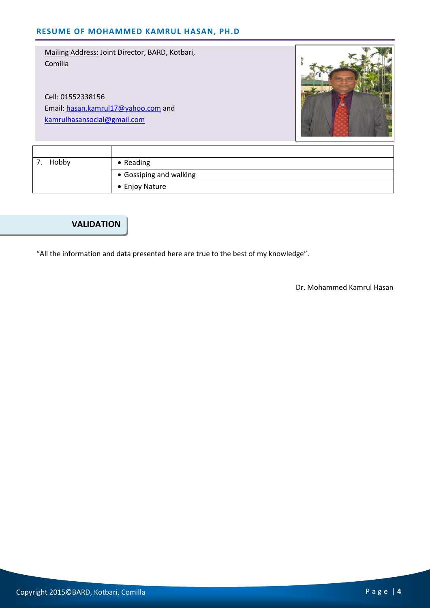Cell: 01552338156 Email: hasan.kamrul17@yahoo.com and kamrulhasansocial@gmail.com



| Hobby | $\bullet$ Reading       |
|-------|-------------------------|
|       | • Gossiping and walking |
|       | • Enjoy Nature          |

#### **VALIDATION**

"All the information and data presented here are true to the best of my knowledge".

Dr. Mohammed Kamrul Hasan